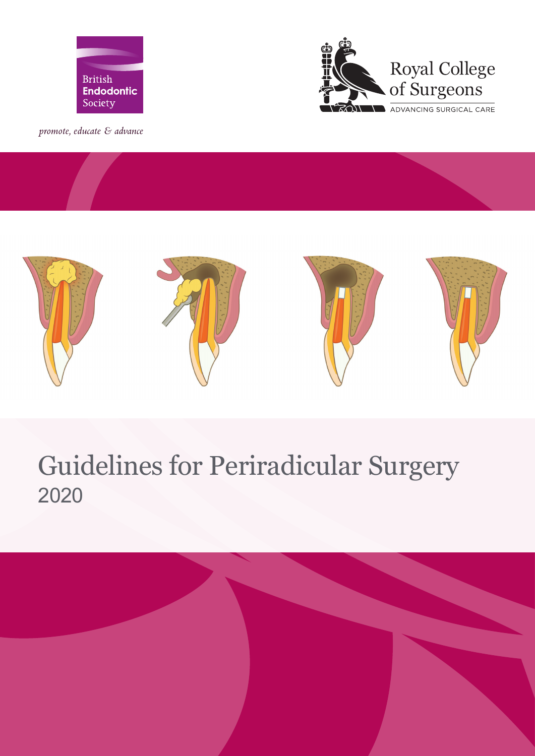

promote, educate & advance





# Guidelines for Periradicular Surgery 2020

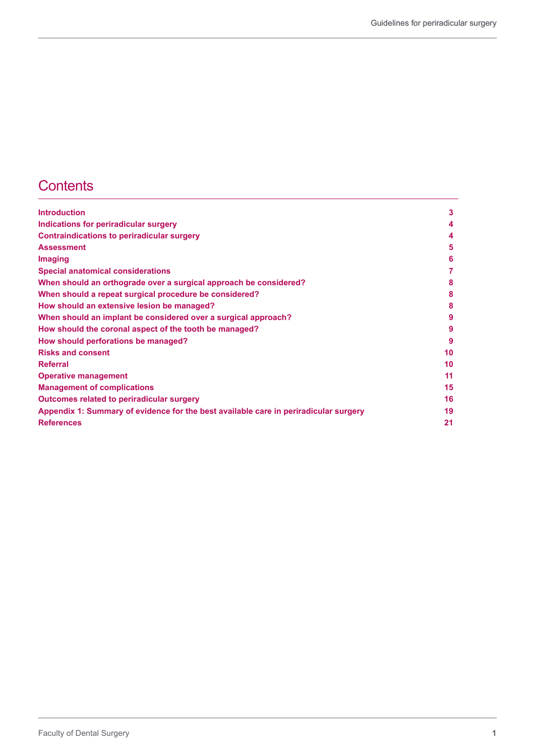# **Contents**

| <b>Introduction</b>                                                                  | 3  |
|--------------------------------------------------------------------------------------|----|
| Indications for periradicular surgery                                                | 4  |
| <b>Contraindications to periradicular surgery</b>                                    | 4  |
| <b>Assessment</b>                                                                    | 5  |
| Imaging                                                                              | 6  |
| <b>Special anatomical considerations</b>                                             |    |
| When should an orthograde over a surgical approach be considered?                    | 8  |
| When should a repeat surgical procedure be considered?                               | 8  |
| How should an extensive lesion be managed?                                           | 8  |
| When should an implant be considered over a surgical approach?                       | 9  |
| How should the coronal aspect of the tooth be managed?                               | 9  |
| How should perforations be managed?                                                  | 9  |
| <b>Risks and consent</b>                                                             | 10 |
| <b>Referral</b>                                                                      | 10 |
| <b>Operative management</b>                                                          | 11 |
| <b>Management of complications</b>                                                   | 15 |
| <b>Outcomes related to periradicular surgery</b>                                     | 16 |
| Appendix 1: Summary of evidence for the best available care in periradicular surgery | 19 |
| <b>References</b>                                                                    | 21 |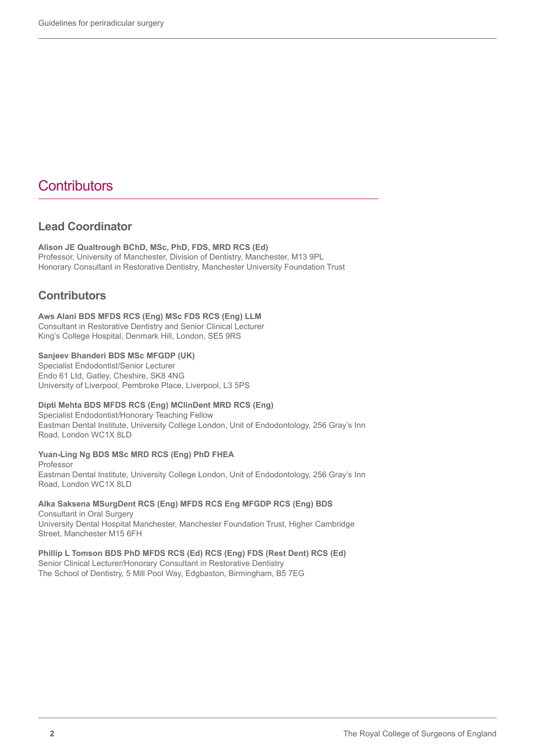# **Contributors**

#### **Lead Coordinator**

**Alison JE Qualtrough BChD, MSc, PhD, FDS, MRD RCS (Ed)** Professor, University of Manchester, Division of Dentistry, Manchester, M13 9PL Honorary Consultant in Restorative Dentistry, Manchester University Foundation Trust

#### **Contributors**

#### **Aws Alani BDS MFDS RCS (Eng) MSc FDS RCS (Eng) LLM**

Consultant in Restorative Dentistry and Senior Clinical Lecturer King's College Hospital, Denmark Hill, London, SE5 9RS

#### **Sanjeev Bhanderi BDS MSc MFGDP (UK)**

Specialist Endodontist/Senior Lecturer Endo 61 Ltd, Gatley, Cheshire, SK8 4NG University of Liverpool, Pembroke Place, Liverpool, L3 5PS

#### **Dipti Mehta BDS MFDS RCS (Eng) MClinDent MRD RCS (Eng)**

Specialist Endodontist/Honorary Teaching Fellow Eastman Dental Institute, University College London, Unit of Endodontology, 256 Gray's Inn Road, London WC1X 8LD

**Yuan-Ling Ng BDS MSc MRD RCS (Eng) PhD FHEA** Professor

Eastman Dental Institute, University College London, Unit of Endodontology, 256 Gray's Inn Road, London WC1X 8LD

#### **Alka Saksena MSurgDent RCS (Eng) MFDS RCS Eng MFGDP RCS (Eng) BDS** Consultant in Oral Surgery University Dental Hospital Manchester, Manchester Foundation Trust, Higher Cambridge

Street, Manchester M15 6FH

**Phillip L Tomson BDS PhD MFDS RCS (Ed) RCS (Eng) FDS (Rest Dent) RCS (Ed)**  Senior Clinical Lecturer/Honorary Consultant in Restorative Dentistry The School of Dentistry, 5 Mill Pool Way, Edgbaston, Birmingham, B5 7EG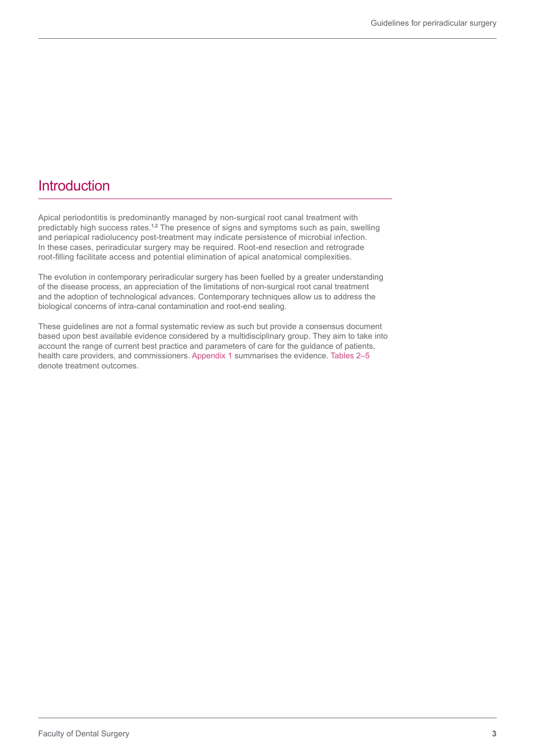## **Introduction**

Apical periodontitis is predominantly managed by non-surgical root canal treatment with predictably high success rates.**1,2** The presence of signs and symptoms such as pain, swelling and periapical radiolucency post-treatment may indicate persistence of microbial infection. In these cases, periradicular surgery may be required. Root-end resection and retrograde root-filling facilitate access and potential elimination of apical anatomical complexities.

The evolution in contemporary periradicular surgery has been fuelled by a greater understanding of the disease process, an appreciation of the limitations of non-surgical root canal treatment and the adoption of technological advances. Contemporary techniques allow us to address the biological concerns of intra-canal contamination and root-end sealing.

These guidelines are not a formal systematic review as such but provide a consensus document based upon best available evidence considered by a multidisciplinary group. They aim to take into account the range of current best practice and parameters of care for the guidance of patients, health care providers, and commissioners. Appendix 1 summarises the evidence. Tables 2–5 denote treatment outcomes.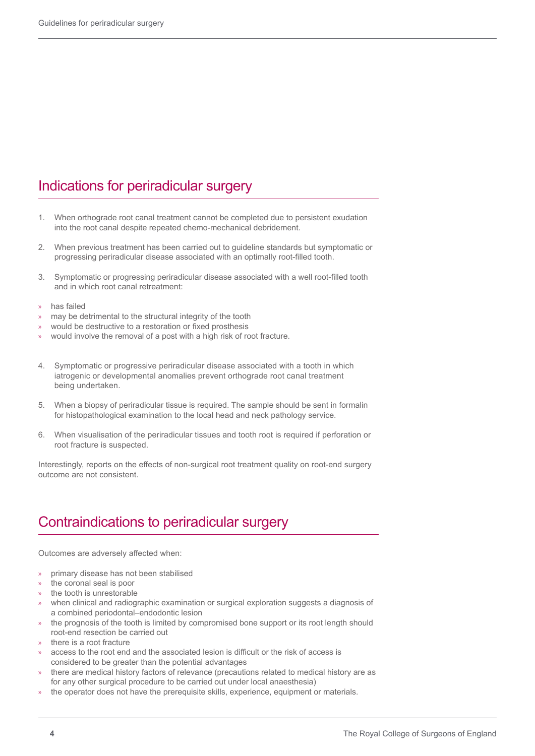## Indications for periradicular surgery

- 1. When orthograde root canal treatment cannot be completed due to persistent exudation into the root canal despite repeated chemo-mechanical debridement.
- 2. When previous treatment has been carried out to guideline standards but symptomatic or progressing periradicular disease associated with an optimally root-filled tooth.
- 3. Symptomatic or progressing periradicular disease associated with a well root-filled tooth and in which root canal retreatment:
- » has failed
- » may be detrimental to the structural integrity of the tooth
- » would be destructive to a restoration or fixed prosthesis
- » would involve the removal of a post with a high risk of root fracture.
- 4. Symptomatic or progressive periradicular disease associated with a tooth in which iatrogenic or developmental anomalies prevent orthograde root canal treatment being undertaken.
- 5. When a biopsy of periradicular tissue is required. The sample should be sent in formalin for histopathological examination to the local head and neck pathology service.
- 6. When visualisation of the periradicular tissues and tooth root is required if perforation or root fracture is suspected.

Interestingly, reports on the effects of non-surgical root treatment quality on root-end surgery outcome are not consistent.

## Contraindications to periradicular surgery

Outcomes are adversely affected when:

- » primary disease has not been stabilised
- the coronal seal is poor
- the tooth is unrestorable
- » when clinical and radiographic examination or surgical exploration suggests a diagnosis of a combined periodontal–endodontic lesion
- » the prognosis of the tooth is limited by compromised bone support or its root length should root-end resection be carried out
- there is a root fracture
- » access to the root end and the associated lesion is difficult or the risk of access is considered to be greater than the potential advantages
- » there are medical history factors of relevance (precautions related to medical history are as for any other surgical procedure to be carried out under local anaesthesia)
- the operator does not have the prerequisite skills, experience, equipment or materials.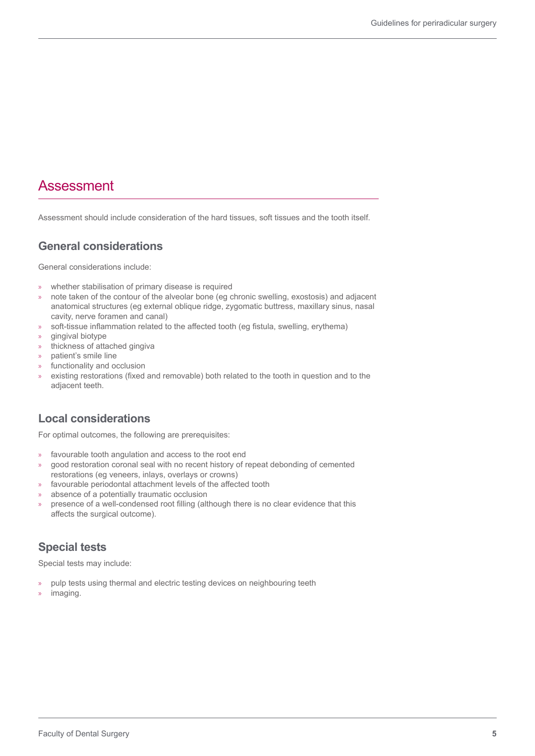## Assessment

Assessment should include consideration of the hard tissues, soft tissues and the tooth itself.

#### **General considerations**

General considerations include:

- » whether stabilisation of primary disease is required
- » note taken of the contour of the alveolar bone (eg chronic swelling, exostosis) and adjacent anatomical structures (eg external oblique ridge, zygomatic buttress, maxillary sinus, nasal cavity, nerve foramen and canal)
- » soft-tissue inflammation related to the affected tooth (eg fistula, swelling, erythema)
- » gingival biotype
- » thickness of attached gingiva
- » patient's smile line
- » functionality and occlusion
- » existing restorations (fixed and removable) both related to the tooth in question and to the adjacent teeth.

## **Local considerations**

For optimal outcomes, the following are prerequisites:

- » favourable tooth angulation and access to the root end
- » good restoration coronal seal with no recent history of repeat debonding of cemented restorations (eg veneers, inlays, overlays or crowns)
- » favourable periodontal attachment levels of the affected tooth
- » absence of a potentially traumatic occlusion
- » presence of a well-condensed root filling (although there is no clear evidence that this affects the surgical outcome).

#### **Special tests**

Special tests may include:

- pulp tests using thermal and electric testing devices on neighbouring teeth
- imaging.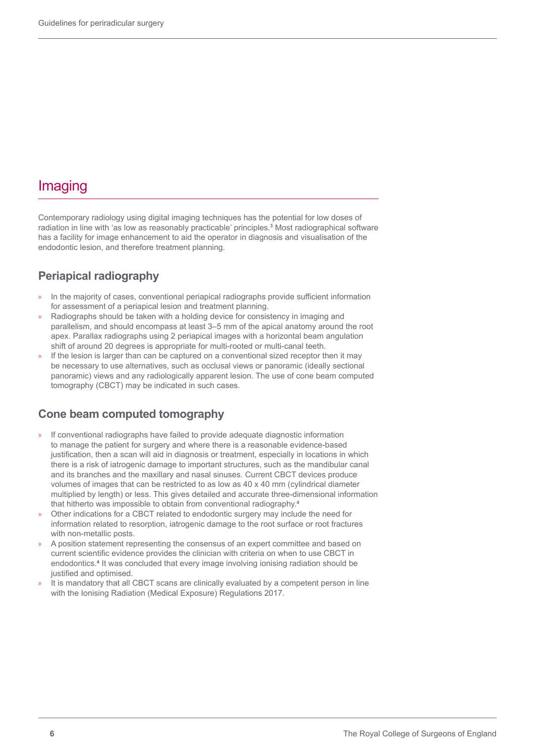## Imaging

Contemporary radiology using digital imaging techniques has the potential for low doses of radiation in line with 'as low as reasonably practicable' principles.**<sup>3</sup>** Most radiographical software has a facility for image enhancement to aid the operator in diagnosis and visualisation of the endodontic lesion, and therefore treatment planning.

## **Periapical radiography**

- » In the majority of cases, conventional periapical radiographs provide sufficient information for assessment of a periapical lesion and treatment planning.
- Radiographs should be taken with a holding device for consistency in imaging and parallelism, and should encompass at least 3–5 mm of the apical anatomy around the root apex. Parallax radiographs using 2 periapical images with a horizontal beam angulation shift of around 20 degrees is appropriate for multi-rooted or multi-canal teeth.
- If the lesion is larger than can be captured on a conventional sized receptor then it may be necessary to use alternatives, such as occlusal views or panoramic (ideally sectional panoramic) views and any radiologically apparent lesion. The use of cone beam computed tomography (CBCT) may be indicated in such cases.

#### **Cone beam computed tomography**

- » If conventional radiographs have failed to provide adequate diagnostic information to manage the patient for surgery and where there is a reasonable evidence-based justification, then a scan will aid in diagnosis or treatment, especially in locations in which there is a risk of iatrogenic damage to important structures, such as the mandibular canal and its branches and the maxillary and nasal sinuses. Current CBCT devices produce volumes of images that can be restricted to as low as 40 x 40 mm (cylindrical diameter multiplied by length) or less. This gives detailed and accurate three-dimensional information that hitherto was impossible to obtain from conventional radiography.**<sup>4</sup>**
- » Other indications for a CBCT related to endodontic surgery may include the need for information related to resorption, iatrogenic damage to the root surface or root fractures with non-metallic posts.
- » A position statement representing the consensus of an expert committee and based on current scientific evidence provides the clinician with criteria on when to use CBCT in endodontics.**<sup>4</sup>** It was concluded that every image involving ionising radiation should be justified and optimised.
- It is mandatory that all CBCT scans are clinically evaluated by a competent person in line with the Ionising Radiation (Medical Exposure) Regulations 2017.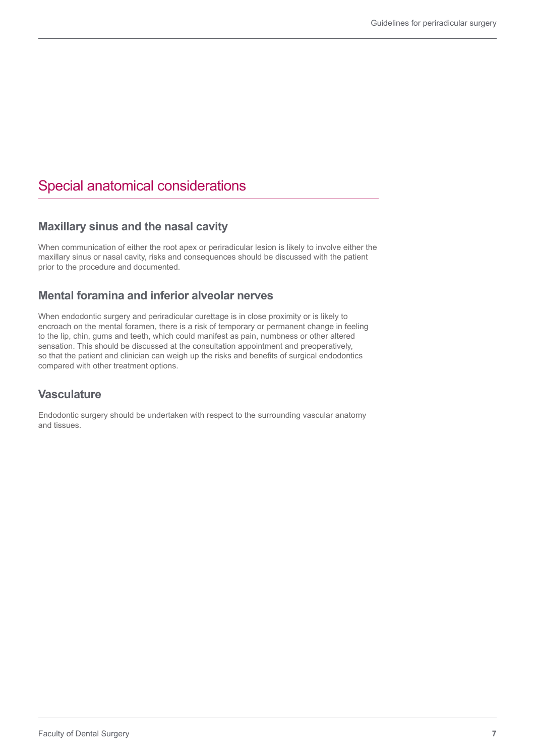## Special anatomical considerations

#### **Maxillary sinus and the nasal cavity**

When communication of either the root apex or periradicular lesion is likely to involve either the maxillary sinus or nasal cavity, risks and consequences should be discussed with the patient prior to the procedure and documented.

#### **Mental foramina and inferior alveolar nerves**

When endodontic surgery and periradicular curettage is in close proximity or is likely to encroach on the mental foramen, there is a risk of temporary or permanent change in feeling to the lip, chin, gums and teeth, which could manifest as pain, numbness or other altered sensation. This should be discussed at the consultation appointment and preoperatively, so that the patient and clinician can weigh up the risks and benefits of surgical endodontics compared with other treatment options.

#### **Vasculature**

Endodontic surgery should be undertaken with respect to the surrounding vascular anatomy and tissues.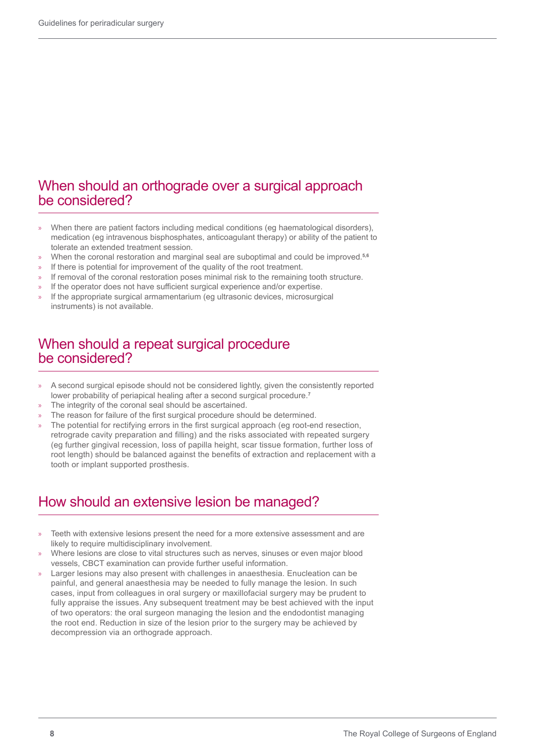## When should an orthograde over a surgical approach be considered?

- » When there are patient factors including medical conditions (eg haematological disorders), medication (eg intravenous bisphosphates, anticoagulant therapy) or ability of the patient to tolerate an extended treatment session.
- » When the coronal restoration and marginal seal are suboptimal and could be improved.**5,6**
- If there is potential for improvement of the quality of the root treatment.
- If removal of the coronal restoration poses minimal risk to the remaining tooth structure.
- If the operator does not have sufficient surgical experience and/or expertise.
- If the appropriate surgical armamentarium (eg ultrasonic devices, microsurgical instruments) is not available.

## When should a repeat surgical procedure be considered?

- » A second surgical episode should not be considered lightly, given the consistently reported lower probability of periapical healing after a second surgical procedure.**<sup>7</sup>**
- The integrity of the coronal seal should be ascertained.
- » The reason for failure of the first surgical procedure should be determined.
- » The potential for rectifying errors in the first surgical approach (eg root-end resection, retrograde cavity preparation and filling) and the risks associated with repeated surgery (eg further gingival recession, loss of papilla height, scar tissue formation, further loss of root length) should be balanced against the benefits of extraction and replacement with a tooth or implant supported prosthesis.

## How should an extensive lesion be managed?

- Teeth with extensive lesions present the need for a more extensive assessment and are likely to require multidisciplinary involvement.
- » Where lesions are close to vital structures such as nerves, sinuses or even major blood vessels, CBCT examination can provide further useful information.
- Larger lesions may also present with challenges in anaesthesia. Enucleation can be painful, and general anaesthesia may be needed to fully manage the lesion. In such cases, input from colleagues in oral surgery or maxillofacial surgery may be prudent to fully appraise the issues. Any subsequent treatment may be best achieved with the input of two operators: the oral surgeon managing the lesion and the endodontist managing the root end. Reduction in size of the lesion prior to the surgery may be achieved by decompression via an orthograde approach.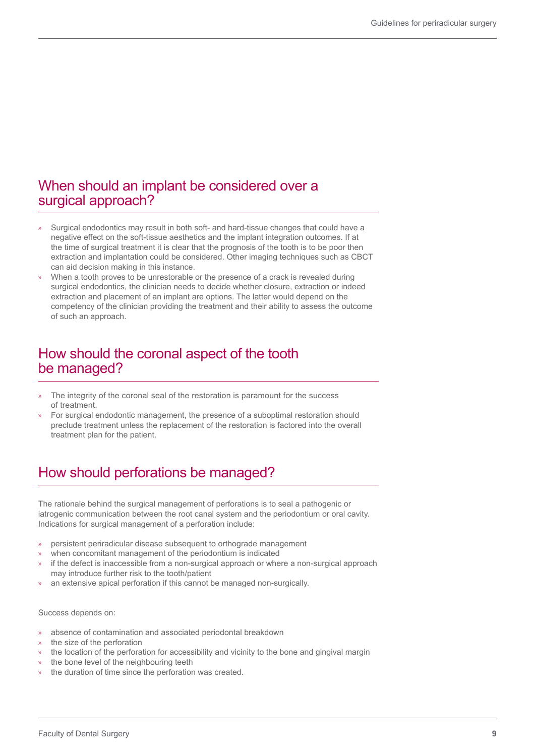## When should an implant be considered over a surgical approach?

- » Surgical endodontics may result in both soft- and hard-tissue changes that could have a negative effect on the soft-tissue aesthetics and the implant integration outcomes. If at the time of surgical treatment it is clear that the prognosis of the tooth is to be poor then extraction and implantation could be considered. Other imaging techniques such as CBCT can aid decision making in this instance.
- » When a tooth proves to be unrestorable or the presence of a crack is revealed during surgical endodontics, the clinician needs to decide whether closure, extraction or indeed extraction and placement of an implant are options. The latter would depend on the competency of the clinician providing the treatment and their ability to assess the outcome of such an approach.

## How should the coronal aspect of the tooth be managed?

- The integrity of the coronal seal of the restoration is paramount for the success of treatment.
- » For surgical endodontic management, the presence of a suboptimal restoration should preclude treatment unless the replacement of the restoration is factored into the overall treatment plan for the patient.

# How should perforations be managed?

The rationale behind the surgical management of perforations is to seal a pathogenic or iatrogenic communication between the root canal system and the periodontium or oral cavity. Indications for surgical management of a perforation include:

- » persistent periradicular disease subsequent to orthograde management
- when concomitant management of the periodontium is indicated
- » if the defect is inaccessible from a non-surgical approach or where a non-surgical approach may introduce further risk to the tooth/patient
- an extensive apical perforation if this cannot be managed non-surgically.

#### Success depends on:

- » absence of contamination and associated periodontal breakdown
- the size of the perforation
- » the location of the perforation for accessibility and vicinity to the bone and gingival margin
- the bone level of the neighbouring teeth
- the duration of time since the perforation was created.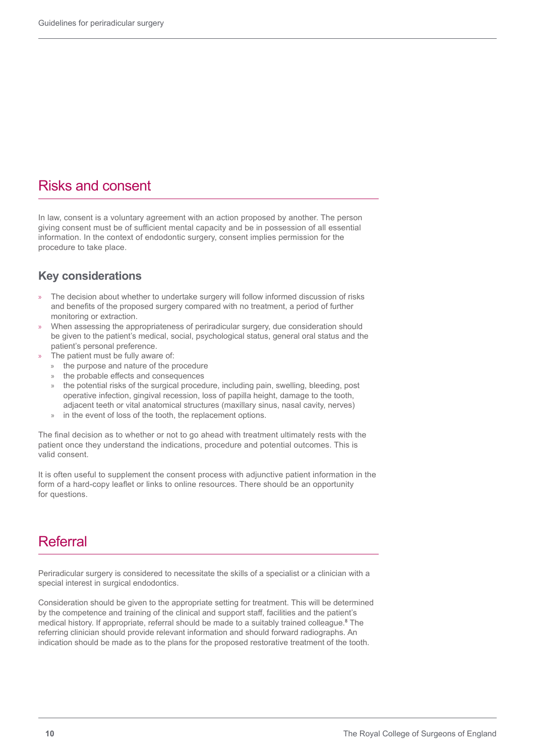## Risks and consent

In law, consent is a voluntary agreement with an action proposed by another. The person giving consent must be of sufficient mental capacity and be in possession of all essential information. In the context of endodontic surgery, consent implies permission for the procedure to take place.

#### **Key considerations**

- » The decision about whether to undertake surgery will follow informed discussion of risks and benefits of the proposed surgery compared with no treatment, a period of further monitoring or extraction.
- » When assessing the appropriateness of periradicular surgery, due consideration should be given to the patient's medical, social, psychological status, general oral status and the patient's personal preference.
- The patient must be fully aware of:
	- » the purpose and nature of the procedure
	- the probable effects and consequences
	- the potential risks of the surgical procedure, including pain, swelling, bleeding, post operative infection, gingival recession, loss of papilla height, damage to the tooth, adjacent teeth or vital anatomical structures (maxillary sinus, nasal cavity, nerves)
	- » in the event of loss of the tooth, the replacement options.

The final decision as to whether or not to go ahead with treatment ultimately rests with the patient once they understand the indications, procedure and potential outcomes. This is valid consent.

It is often useful to supplement the consent process with adjunctive patient information in the form of a hard-copy leaflet or links to online resources. There should be an opportunity for questions.

## Referral

Periradicular surgery is considered to necessitate the skills of a specialist or a clinician with a special interest in surgical endodontics.

Consideration should be given to the appropriate setting for treatment. This will be determined by the competence and training of the clinical and support staff, facilities and the patient's medical history. If appropriate, referral should be made to a suitably trained colleague.**<sup>8</sup>** The referring clinician should provide relevant information and should forward radiographs. An indication should be made as to the plans for the proposed restorative treatment of the tooth.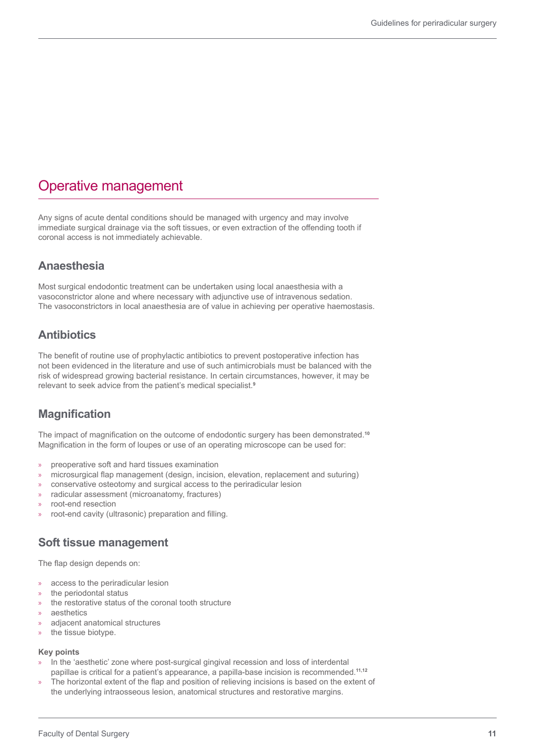## Operative management

Any signs of acute dental conditions should be managed with urgency and may involve immediate surgical drainage via the soft tissues, or even extraction of the offending tooth if coronal access is not immediately achievable.

#### **Anaesthesia**

Most surgical endodontic treatment can be undertaken using local anaesthesia with a vasoconstrictor alone and where necessary with adjunctive use of intravenous sedation. The vasoconstrictors in local anaesthesia are of value in achieving per operative haemostasis.

### **Antibiotics**

The benefit of routine use of prophylactic antibiotics to prevent postoperative infection has not been evidenced in the literature and use of such antimicrobials must be balanced with the risk of widespread growing bacterial resistance. In certain circumstances, however, it may be relevant to seek advice from the patient's medical specialist.**<sup>9</sup>**

#### **Magnification**

The impact of magnification on the outcome of endodontic surgery has been demonstrated.**<sup>10</sup>** Magnification in the form of loupes or use of an operating microscope can be used for:

- » preoperative soft and hard tissues examination
- » microsurgical flap management (design, incision, elevation, replacement and suturing)
- » conservative osteotomy and surgical access to the periradicular lesion
- » radicular assessment (microanatomy, fractures)
- » root-end resection
- » root-end cavity (ultrasonic) preparation and filling.

#### **Soft tissue management**

The flap design depends on:

- » access to the periradicular lesion
- » the periodontal status
- » the restorative status of the coronal tooth structure
- » aesthetics
- adjacent anatomical structures
- » the tissue biotype.

#### **Key points**

- In the 'aesthetic' zone where post-surgical gingival recession and loss of interdental papillae is critical for a patient's appearance, a papilla-base incision is recommended.**11,12**
- » The horizontal extent of the flap and position of relieving incisions is based on the extent of the underlying intraosseous lesion, anatomical structures and restorative margins.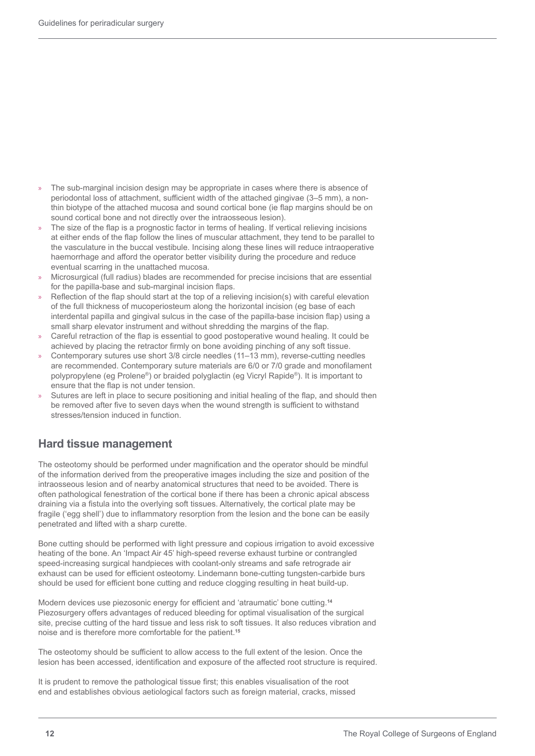- » The sub-marginal incision design may be appropriate in cases where there is absence of periodontal loss of attachment, sufficient width of the attached gingivae (3–5 mm), a nonthin biotype of the attached mucosa and sound cortical bone (ie flap margins should be on sound cortical bone and not directly over the intraosseous lesion).
- » The size of the flap is a prognostic factor in terms of healing. If vertical relieving incisions at either ends of the flap follow the lines of muscular attachment, they tend to be parallel to the vasculature in the buccal vestibule. Incising along these lines will reduce intraoperative haemorrhage and afford the operator better visibility during the procedure and reduce eventual scarring in the unattached mucosa.
- » Microsurgical (full radius) blades are recommended for precise incisions that are essential for the papilla-base and sub-marginal incision flaps.
- » Reflection of the flap should start at the top of a relieving incision(s) with careful elevation of the full thickness of mucoperiosteum along the horizontal incision (eg base of each interdental papilla and gingival sulcus in the case of the papilla-base incision flap) using a small sharp elevator instrument and without shredding the margins of the flap.
- » Careful retraction of the flap is essential to good postoperative wound healing. It could be achieved by placing the retractor firmly on bone avoiding pinching of any soft tissue.
- » Contemporary sutures use short 3/8 circle needles (11–13 mm), reverse-cutting needles are recommended. Contemporary suture materials are 6/0 or 7/0 grade and monofilament polypropylene (eg Prolene®) or braided polyglactin (eg Vicryl Rapide®). It is important to ensure that the flap is not under tension.
- » Sutures are left in place to secure positioning and initial healing of the flap, and should then be removed after five to seven days when the wound strength is sufficient to withstand stresses/tension induced in function.

## **Hard tissue management**

The osteotomy should be performed under magnification and the operator should be mindful of the information derived from the preoperative images including the size and position of the intraosseous lesion and of nearby anatomical structures that need to be avoided. There is often pathological fenestration of the cortical bone if there has been a chronic apical abscess draining via a fistula into the overlying soft tissues. Alternatively, the cortical plate may be fragile ('egg shell') due to inflammatory resorption from the lesion and the bone can be easily penetrated and lifted with a sharp curette.

Bone cutting should be performed with light pressure and copious irrigation to avoid excessive heating of the bone. An 'Impact Air 45' high-speed reverse exhaust turbine or contrangled speed-increasing surgical handpieces with coolant-only streams and safe retrograde air exhaust can be used for efficient osteotomy. Lindemann bone-cutting tungsten-carbide burs should be used for efficient bone cutting and reduce clogging resulting in heat build-up.

Modern devices use piezosonic energy for efficient and 'atraumatic' bone cutting.**<sup>14</sup>** Piezosurgery offers advantages of reduced bleeding for optimal visualisation of the surgical site, precise cutting of the hard tissue and less risk to soft tissues. It also reduces vibration and noise and is therefore more comfortable for the patient.**<sup>15</sup>**

The osteotomy should be sufficient to allow access to the full extent of the lesion. Once the lesion has been accessed, identification and exposure of the affected root structure is required.

It is prudent to remove the pathological tissue first; this enables visualisation of the root end and establishes obvious aetiological factors such as foreign material, cracks, missed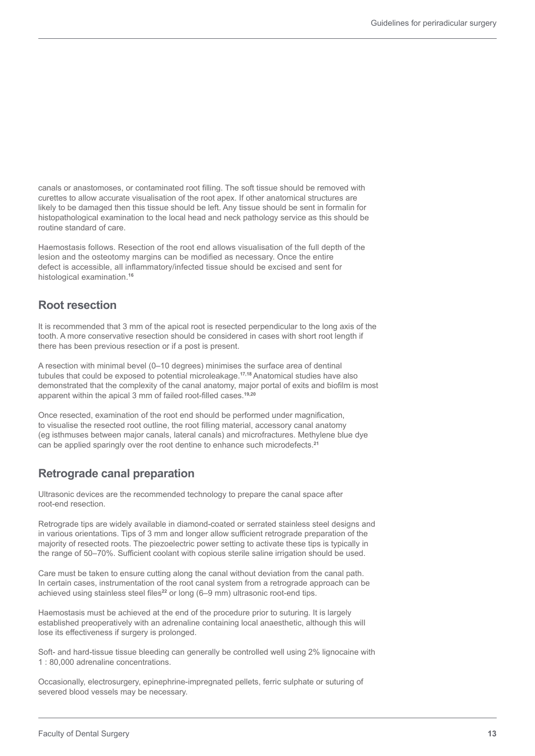canals or anastomoses, or contaminated root filling. The soft tissue should be removed with curettes to allow accurate visualisation of the root apex. If other anatomical structures are likely to be damaged then this tissue should be left. Any tissue should be sent in formalin for histopathological examination to the local head and neck pathology service as this should be routine standard of care.

Haemostasis follows. Resection of the root end allows visualisation of the full depth of the lesion and the osteotomy margins can be modified as necessary. Once the entire defect is accessible, all inflammatory/infected tissue should be excised and sent for histological examination.**<sup>16</sup>**

#### **Root resection**

It is recommended that 3 mm of the apical root is resected perpendicular to the long axis of the tooth. A more conservative resection should be considered in cases with short root length if there has been previous resection or if a post is present.

A resection with minimal bevel (0–10 degrees) minimises the surface area of dentinal tubules that could be exposed to potential microleakage.**17,18** Anatomical studies have also demonstrated that the complexity of the canal anatomy, major portal of exits and biofilm is most apparent within the apical 3 mm of failed root-filled cases.**19,20**

Once resected, examination of the root end should be performed under magnification, to visualise the resected root outline, the root filling material, accessory canal anatomy (eg isthmuses between major canals, lateral canals) and microfractures. Methylene blue dye can be applied sparingly over the root dentine to enhance such microdefects.**<sup>21</sup>**

#### **Retrograde canal preparation**

Ultrasonic devices are the recommended technology to prepare the canal space after root-end resection.

Retrograde tips are widely available in diamond-coated or serrated stainless steel designs and in various orientations. Tips of 3 mm and longer allow sufficient retrograde preparation of the majority of resected roots. The piezoelectric power setting to activate these tips is typically in the range of 50–70%. Sufficient coolant with copious sterile saline irrigation should be used.

Care must be taken to ensure cutting along the canal without deviation from the canal path. In certain cases, instrumentation of the root canal system from a retrograde approach can be achieved using stainless steel files<sup>22</sup> or long (6–9 mm) ultrasonic root-end tips.

Haemostasis must be achieved at the end of the procedure prior to suturing. It is largely established preoperatively with an adrenaline containing local anaesthetic, although this will lose its effectiveness if surgery is prolonged.

Soft- and hard-tissue tissue bleeding can generally be controlled well using 2% lignocaine with 1 : 80,000 adrenaline concentrations.

Occasionally, electrosurgery, epinephrine-impregnated pellets, ferric sulphate or suturing of severed blood vessels may be necessary.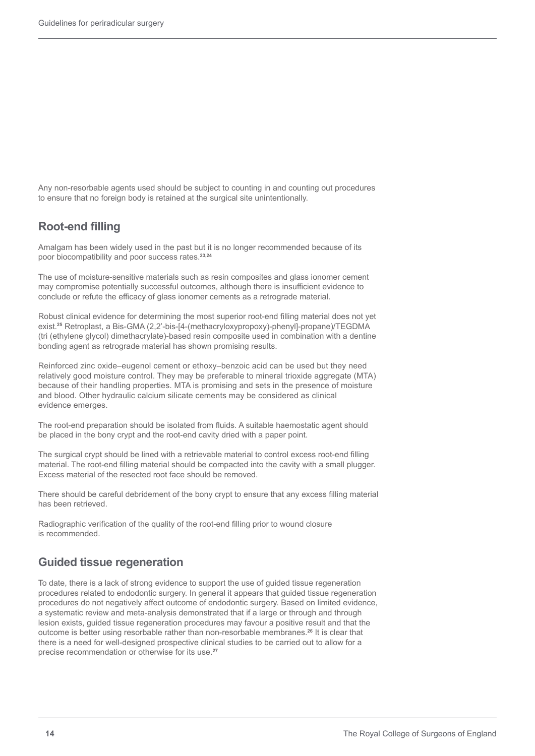Any non-resorbable agents used should be subject to counting in and counting out procedures to ensure that no foreign body is retained at the surgical site unintentionally.

#### **Root-end filling**

Amalgam has been widely used in the past but it is no longer recommended because of its poor biocompatibility and poor success rates.**23,24**

The use of moisture-sensitive materials such as resin composites and glass ionomer cement may compromise potentially successful outcomes, although there is insufficient evidence to conclude or refute the efficacy of glass ionomer cements as a retrograde material.

Robust clinical evidence for determining the most superior root-end filling material does not yet exist.**<sup>25</sup>** Retroplast, a Bis-GMA (2,2'-bis-[4-(methacryloxypropoxy)-phenyl]-propane)/TEGDMA (tri (ethylene glycol) dimethacrylate)-based resin composite used in combination with a dentine bonding agent as retrograde material has shown promising results.

Reinforced zinc oxide–eugenol cement or ethoxy–benzoic acid can be used but they need relatively good moisture control. They may be preferable to mineral trioxide aggregate (MTA) because of their handling properties. MTA is promising and sets in the presence of moisture and blood. Other hydraulic calcium silicate cements may be considered as clinical evidence emerges.

The root-end preparation should be isolated from fluids. A suitable haemostatic agent should be placed in the bony crypt and the root-end cavity dried with a paper point.

The surgical crypt should be lined with a retrievable material to control excess root-end filling material. The root-end filling material should be compacted into the cavity with a small plugger. Excess material of the resected root face should be removed.

There should be careful debridement of the bony crypt to ensure that any excess filling material has been retrieved.

Radiographic verification of the quality of the root-end filling prior to wound closure is recommended.

#### **Guided tissue regeneration**

To date, there is a lack of strong evidence to support the use of guided tissue regeneration procedures related to endodontic surgery. In general it appears that guided tissue regeneration procedures do not negatively affect outcome of endodontic surgery. Based on limited evidence, a systematic review and meta-analysis demonstrated that if a large or through and through lesion exists, guided tissue regeneration procedures may favour a positive result and that the outcome is better using resorbable rather than non-resorbable membranes.**<sup>26</sup>** It is clear that there is a need for well-designed prospective clinical studies to be carried out to allow for a precise recommendation or otherwise for its use.**<sup>27</sup>**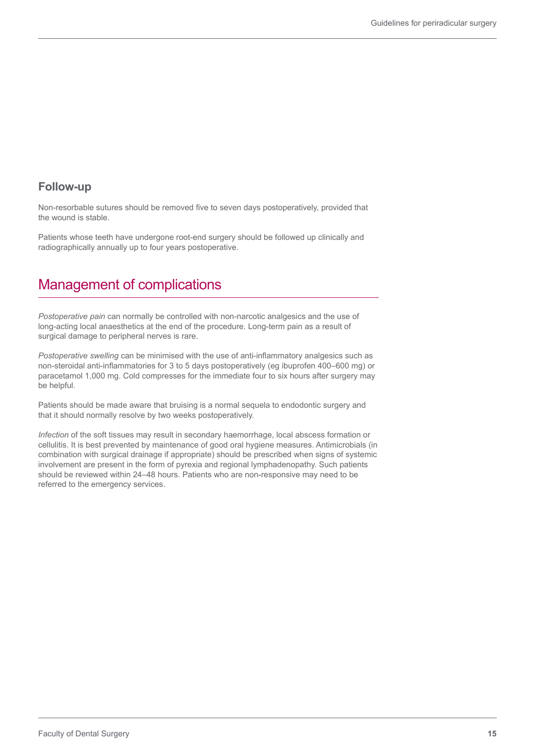#### **Follow-up**

Non-resorbable sutures should be removed five to seven days postoperatively, provided that the wound is stable.

Patients whose teeth have undergone root-end surgery should be followed up clinically and radiographically annually up to four years postoperative.

# Management of complications

*Postoperative pain* can normally be controlled with non-narcotic analgesics and the use of long-acting local anaesthetics at the end of the procedure. Long-term pain as a result of surgical damage to peripheral nerves is rare.

*Postoperative swelling* can be minimised with the use of anti-inflammatory analgesics such as non-steroidal anti-inflammatories for 3 to 5 days postoperatively (eg ibuprofen 400–600 mg) or paracetamol 1,000 mg. Cold compresses for the immediate four to six hours after surgery may be helpful.

Patients should be made aware that bruising is a normal sequela to endodontic surgery and that it should normally resolve by two weeks postoperatively.

*Infection* of the soft tissues may result in secondary haemorrhage, local abscess formation or cellulitis. It is best prevented by maintenance of good oral hygiene measures. Antimicrobials (in combination with surgical drainage if appropriate) should be prescribed when signs of systemic involvement are present in the form of pyrexia and regional lymphadenopathy. Such patients should be reviewed within 24–48 hours. Patients who are non-responsive may need to be referred to the emergency services.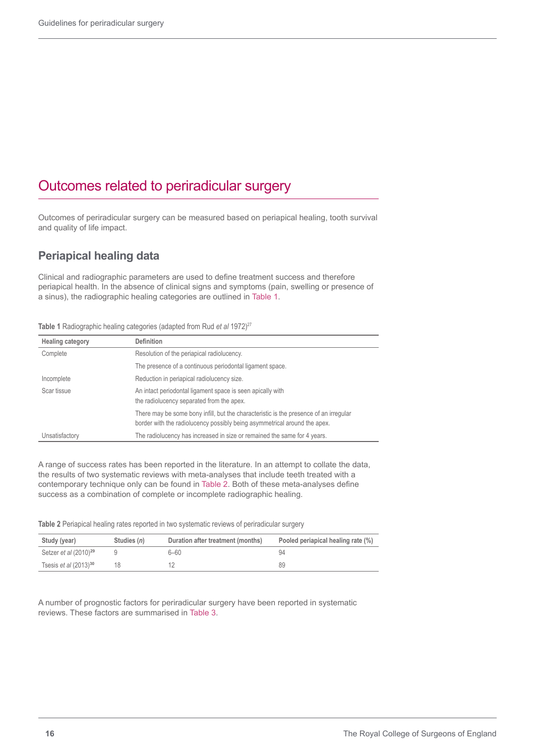## Outcomes related to periradicular surgery

Outcomes of periradicular surgery can be measured based on periapical healing, tooth survival and quality of life impact.

### **Periapical healing data**

Clinical and radiographic parameters are used to define treatment success and therefore periapical health. In the absence of clinical signs and symptoms (pain, swelling or presence of a sinus), the radiographic healing categories are outlined in Table 1.

| Table 1 Radiographic healing categories (adapted from Rud et al 1972) <sup>27</sup> |  |
|-------------------------------------------------------------------------------------|--|
|-------------------------------------------------------------------------------------|--|

| <b>Healing category</b> | <b>Definition</b>                                                                                                                                                  |
|-------------------------|--------------------------------------------------------------------------------------------------------------------------------------------------------------------|
| Complete                | Resolution of the periapical radiolucency.                                                                                                                         |
|                         | The presence of a continuous periodontal ligament space.                                                                                                           |
| Incomplete              | Reduction in periapical radiolucency size.                                                                                                                         |
| Scar tissue             | An intact periodontal ligament space is seen apically with<br>the radiolucency separated from the apex.                                                            |
|                         | There may be some bony infill, but the characteristic is the presence of an irregular<br>border with the radiolucency possibly being asymmetrical around the apex. |
| Unsatisfactory          | The radiolucency has increased in size or remained the same for 4 years.                                                                                           |

A range of success rates has been reported in the literature. In an attempt to collate the data, the results of two systematic reviews with meta-analyses that include teeth treated with a contemporary technique only can be found in Table 2. Both of these meta-analyses define success as a combination of complete or incomplete radiographic healing.

**Table 2** Periapical healing rates reported in two systematic reviews of periradicular surgery

| Study (year)               | Studies (n) | Duration after treatment (months) | Pooled periapical healing rate (%) |
|----------------------------|-------------|-----------------------------------|------------------------------------|
| Setzer et al $(2010)^{29}$ |             | 6-60                              | 94                                 |
| Tsesis et al $(2013)^{30}$ |             |                                   | 89                                 |

A number of prognostic factors for periradicular surgery have been reported in systematic reviews. These factors are summarised in Table 3.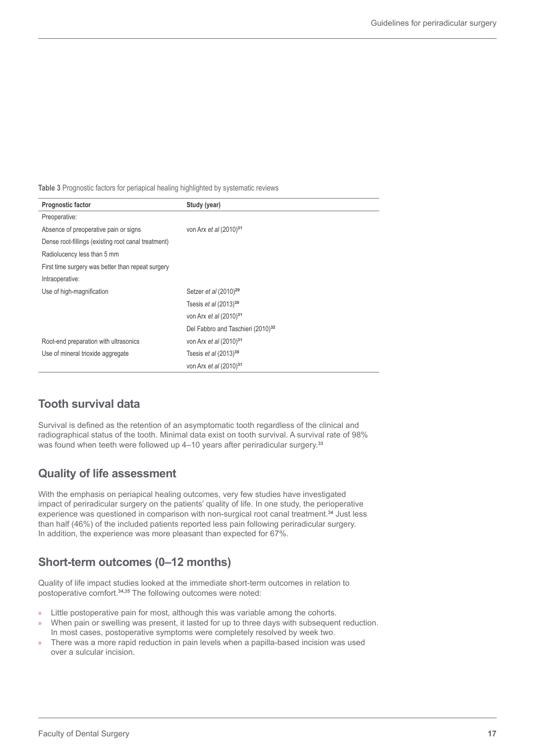**Table 3** Prognostic factors for periapical healing highlighted by systematic reviews

| Prognostic factor                                   | Study (year)                                  |
|-----------------------------------------------------|-----------------------------------------------|
| Preoperative:                                       |                                               |
| Absence of preoperative pain or signs               | von Arx et al (2010) <sup>31</sup>            |
| Dense root-fillings (existing root canal treatment) |                                               |
| Radiolucency less than 5 mm                         |                                               |
| First time surgery was better than repeat surgery   |                                               |
| Intraoperative:                                     |                                               |
| Use of high-magnification                           | Setzer et al (2010) <sup>29</sup>             |
|                                                     | Tsesis et al $(2013)^{30}$                    |
|                                                     | von Arx et al (2010) <sup>31</sup>            |
|                                                     | Del Fabbro and Taschieri (2010) <sup>32</sup> |
| Root-end preparation with ultrasonics               | von Arx et al (2010) <sup>31</sup>            |
| Use of mineral trioxide aggregate                   | Tsesis et al $(2013)^{30}$                    |
|                                                     | von Arx et al (2010) <sup>31</sup>            |

#### **Tooth survival data**

Survival is defined as the retention of an asymptomatic tooth regardless of the clinical and radiographical status of the tooth. Minimal data exist on tooth survival. A survival rate of 98% was found when teeth were followed up 4–10 years after periradicular surgery.**<sup>33</sup>**

#### **Quality of life assessment**

With the emphasis on periapical healing outcomes, very few studies have investigated impact of periradicular surgery on the patients' quality of life. In one study, the perioperative experience was questioned in comparison with non-surgical root canal treatment.**<sup>34</sup>** Just less than half (46%) of the included patients reported less pain following periradicular surgery. In addition, the experience was more pleasant than expected for 67%.

#### **Short-term outcomes (0–12 months)**

Quality of life impact studies looked at the immediate short-term outcomes in relation to postoperative comfort.**34,35** The following outcomes were noted:

- » Little postoperative pain for most, although this was variable among the cohorts.
- » When pain or swelling was present, it lasted for up to three days with subsequent reduction. In most cases, postoperative symptoms were completely resolved by week two.
- » There was a more rapid reduction in pain levels when a papilla-based incision was used over a sulcular incision.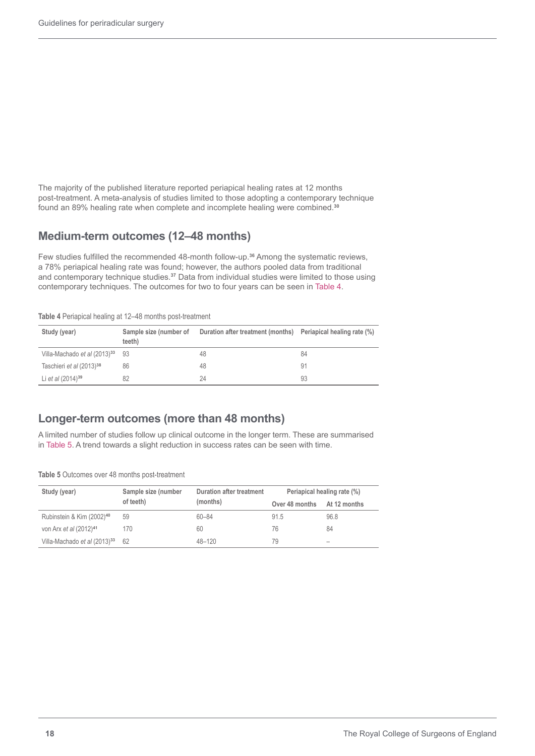The majority of the published literature reported periapical healing rates at 12 months post-treatment. A meta-analysis of studies limited to those adopting a contemporary technique found an 89% healing rate when complete and incomplete healing were combined.**<sup>30</sup>**

#### **Medium-term outcomes (12–48 months)**

Few studies fulfilled the recommended 48-month follow-up.**<sup>36</sup>** Among the systematic reviews, a 78% periapical healing rate was found; however, the authors pooled data from traditional and contemporary technique studies.**<sup>37</sup>** Data from individual studies were limited to those using contemporary techniques. The outcomes for two to four years can be seen in Table 4.

| Study (year)                             | Sample size (number of<br>teeth) | Duration after treatment (months) Periapical healing rate (%) |                |
|------------------------------------------|----------------------------------|---------------------------------------------------------------|----------------|
| Villa-Machado et al (2013) <sup>33</sup> | 93                               | 48                                                            | 84             |
| Taschieri et al (2013) <sup>38</sup>     | 86                               | 48                                                            | 9 <sup>1</sup> |
| Li et al $(2014)^{39}$                   | 82                               | 24                                                            | 93             |

**Table 4** Periapical healing at 12–48 months post-treatment

#### **Longer-term outcomes (more than 48 months)**

A limited number of studies follow up clinical outcome in the longer term. These are summarised in Table 5. A trend towards a slight reduction in success rates can be seen with time.

**Table 5** Outcomes over 48 months post-treatment

| Study (year)                             | Sample size (number | Duration after treatment<br>(months) | Periapical healing rate (%) |                              |
|------------------------------------------|---------------------|--------------------------------------|-----------------------------|------------------------------|
|                                          | of teeth)           |                                      | Over 48 months At 12 months |                              |
| Rubinstein & Kim (2002) <sup>40</sup>    | 59                  | $60 - 84$                            | 91.5                        | 96.8                         |
| von Arx et al (2012) <sup>41</sup>       | 170                 | 60                                   | 76                          | 84                           |
| Villa-Machado et al (2013) <sup>33</sup> | 62                  | 48-120                               | 79                          | $\qquad \qquad \blacksquare$ |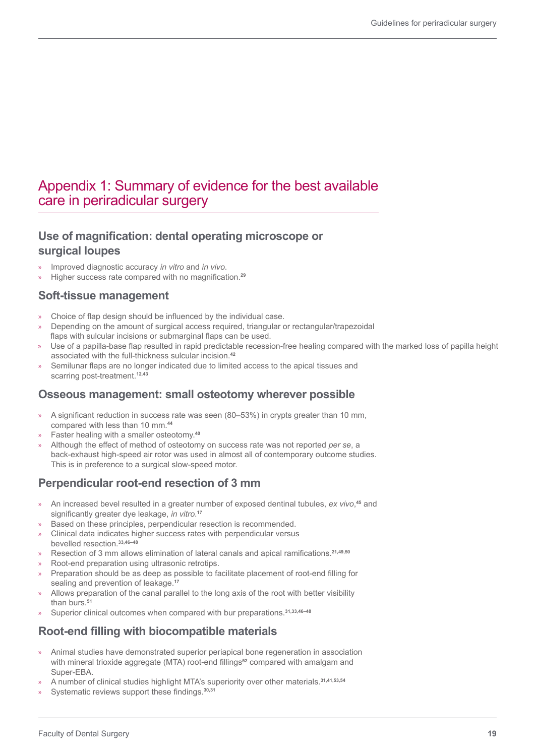## Appendix 1: Summary of evidence for the best available care in periradicular surgery

#### **Use of magnification: dental operating microscope or surgical loupes**

- » Improved diagnostic accuracy *in vitro* and *in vivo*.
- » Higher success rate compared with no magnification.**<sup>29</sup>**

#### **Soft-tissue management**

- » Choice of flap design should be influenced by the individual case.
- » Depending on the amount of surgical access required, triangular or rectangular/trapezoidal flaps with sulcular incisions or submarginal flaps can be used.
- » Use of a papilla-base flap resulted in rapid predictable recession-free healing compared with the marked loss of papilla height associated with the full-thickness sulcular incision. **42**
- » Semilunar flaps are no longer indicated due to limited access to the apical tissues and scarring post-treatment.**12,43**

#### **Osseous management: small osteotomy wherever possible**

- » A significant reduction in success rate was seen (80–53%) in crypts greater than 10 mm, compared with less than 10 mm.**<sup>44</sup>**
- » Faster healing with a smaller osteotomy.**<sup>40</sup>**
- » Although the effect of method of osteotomy on success rate was not reported *per se*, a back-exhaust high-speed air rotor was used in almost all of contemporary outcome studies. This is in preference to a surgical slow-speed motor.

## **Perpendicular root-end resection of 3 mm**

- » An increased bevel resulted in a greater number of exposed dentinal tubules, *ex vivo*, **<sup>45</sup>** and significantly greater dye leakage, *in vitro*. **17**
- » Based on these principles, perpendicular resection is recommended.
- » Clinical data indicates higher success rates with perpendicular versus bevelled resection.**33,46–48**
- » Resection of 3 mm allows elimination of lateral canals and apical ramifications.**21,49,50**
- » Root-end preparation using ultrasonic retrotips.
- » Preparation should be as deep as possible to facilitate placement of root-end filling for sealing and prevention of leakage.**<sup>17</sup>**
- » Allows preparation of the canal parallel to the long axis of the root with better visibility than burs.**<sup>51</sup>**
- » Superior clinical outcomes when compared with bur preparations.**31,33,46–48**

#### **Root-end filling with biocompatible materials**

- » Animal studies have demonstrated superior periapical bone regeneration in association with mineral trioxide aggregate (MTA) root-end fillings**<sup>52</sup>** compared with amalgam and Super-EBA.
- » A number of clinical studies highlight MTA's superiority over other materials.**31,41,53,54**
- Systematic reviews support these findings.<sup>30,31</sup>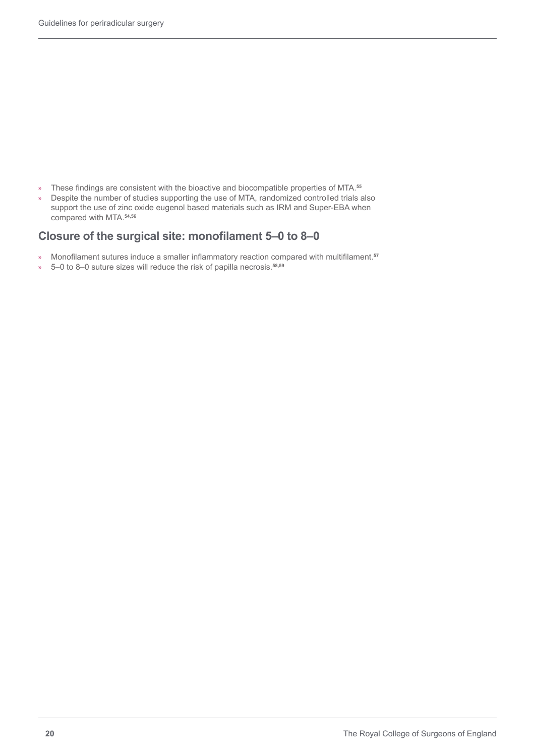- » These findings are consistent with the bioactive and biocompatible properties of MTA.**<sup>55</sup>**
- » Despite the number of studies supporting the use of MTA, randomized controlled trials also support the use of zinc oxide eugenol based materials such as IRM and Super-EBA when compared with MTA.**54,56**

#### **Closure of the surgical site: monofilament 5–0 to 8–0**

- » Monofilament sutures induce a smaller inflammatory reaction compared with multifilament.**<sup>57</sup>**
- » 5–0 to 8–0 suture sizes will reduce the risk of papilla necrosis.**58,59**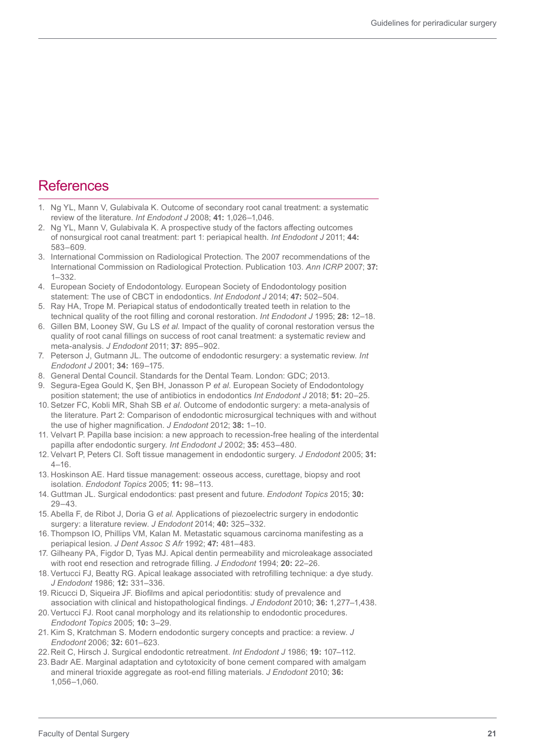## **References**

- 1. Ng YL, Mann V, Gulabivala K. Outcome of secondary root canal treatment: a systematic review of the literature. *Int Endodont J* 2008; **41:** 1,026–1,046.
- 2. Ng YL, Mann V, Gulabivala K. A prospective study of the factors affecting outcomes of nonsurgical root canal treatment: part 1: periapical health. *Int Endodont J* 2011; **44:**  583–609.
- 3. International Commission on Radiological Protection. The 2007 recommendations of the International Commission on Radiological Protection. Publication 103. *Ann ICRP* 2007; **37:**  1–332.
- 4. European Society of Endodontology. European Society of Endodontology position statement: The use of CBCT in endodontics. *Int Endodont J* 2014; **47:** 502–504.
- 5. Ray HA, Trope M. Periapical status of endodontically treated teeth in relation to the technical quality of the root filling and coronal restoration. *Int Endodont J* 1995; **28:** 12–18.
- 6. Gillen BM, Looney SW, Gu LS *et al*. Impact of the quality of coronal restoration versus the quality of root canal fillings on success of root canal treatment: a systematic review and meta-analysis. *J Endodont* 2011; **37:** 895–902.
- 7. Peterson J, Gutmann JL. The outcome of endodontic resurgery: a systematic review. *Int Endodont J* 2001; **34:** 169–175.
- 8. General Dental Council. Standards for the Dental Team. London: GDC; 2013.
- 9. Segura-Egea Gould K, Şen BH, Jonasson P *et al.* European Society of Endodontology position statement; the use of antibiotics in endodontics *Int Endodont J* 2018; **51:** 20–25.
- 10. Setzer FC, Kobli MR, Shah SB *et al*. Outcome of endodontic surgery: a meta-analysis of the literature. Part 2: Comparison of endodontic microsurgical techniques with and without the use of higher magnification. *J Endodont* 2012; **38:** 1–10.
- 11. Velvart P. Papilla base incision: a new approach to recession-free healing of the interdental papilla after endodontic surgery. *Int Endodont J* 2002; **35:** 453–480.
- 12. Velvart P, Peters CI. Soft tissue management in endodontic surgery. *J Endodont* 2005; **31:**  $4 - 16$ .
- 13. Hoskinson AE. Hard tissue management: osseous access, curettage, biopsy and root isolation. *Endodont Topics* 2005; **11:** 98–113.
- 14. Guttman JL. Surgical endodontics: past present and future. *Endodont Topics* 2015; **30:** 29–43.
- 15. Abella F, de Ribot J, Doria G *et al*. Applications of piezoelectric surgery in endodontic surgery: a literature review. *J Endodont* 2014; **40:** 325–332.
- 16. Thompson IO, Phillips VM, Kalan M. Metastatic squamous carcinoma manifesting as a periapical lesion. *J Dent Assoc S Afr* 1992; **47:** 481–483.
- 17. Gilheany PA, Figdor D, Tyas MJ. Apical dentin permeability and microleakage associated with root end resection and retrograde filling. *J Endodont* 1994; **20:** 22–26.
- 18. Vertucci FJ, Beatty RG. Apical leakage associated with retrofilling technique: a dye study. *J Endodont* 1986; **12:** 331–336.
- 19. Ricucci D, Siqueira JF. Biofilms and apical periodontitis: study of prevalence and association with clinical and histopathological findings. *J Endodont* 2010; **36:** 1,277–1,438.
- 20.Vertucci FJ. Root canal morphology and its relationship to endodontic procedures. *Endodont Topics* 2005; **10:** 3–29.
- 21. Kim S, Kratchman S. Modern endodontic surgery concepts and practice: a review. *J Endodont* 2006; **32:** 601–623.
- 22.Reit C, Hirsch J. Surgical endodontic retreatment. *Int Endodont J* 1986; **19:** 107–112.
- 23.Badr AE. Marginal adaptation and cytotoxicity of bone cement compared with amalgam and mineral trioxide aggregate as root-end filling materials. *J Endodont* 2010; **36:** 1,056–1,060.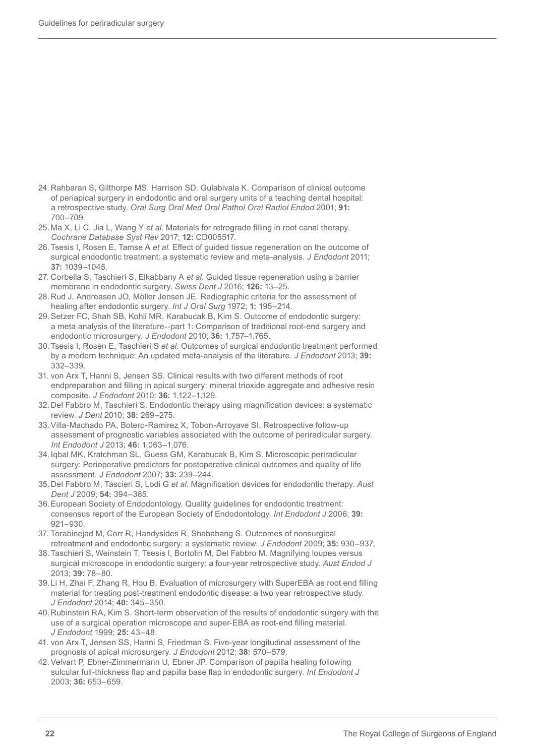- 24. Rahbaran S, Gilthorpe MS, Harrison SD, Gulabivala K. Comparison of clinical outcome of periapical surgery in endodontic and oral surgery units of a teaching dental hospital: a retrospective study. *Oral Surg Oral Med Oral Pathol Oral Radiol Endod* 2001; **91:**  700–709.
- 25. Ma X, Li C, Jia L, Wang Y *et al*. Materials for retrograde filling in root canal therapy. *Cochrane Database Syst Rev* 2017; **12:** CD005517.
- 26.Tsesis I, Rosen E, Tamse A *et al*. Effect of guided tissue regeneration on the outcome of surgical endodontic treatment: a systematic review and meta-analysis. *J Endodont* 2011; **37:** 1039–1045.
- 27. Corbella S, Taschieri S, Elkabbany A *et al*. Guided tissue regeneration using a barrier membrane in endodontic surgery. *Swiss Dent J* 2016; **126:** 13–25.
- 28. Rud J, Andreasen JO, Möller Jensen JE. Radiographic criteria for the assessment of healing after endodontic surgery. *Int J Oral Surg* 1972; **1:** 195–214.
- 29.Setzer FC, Shah SB, Kohli MR, Karabucak B, Kim S. Outcome of endodontic surgery: a meta analysis of the literature--part 1: Comparison of traditional root-end surgery and endodontic microsurgery. *J Endodont* 2010; **36:** 1,757–1,765.
- 30.Tsesis I, Rosen E, Taschieri S *et al.* Outcomes of surgical endodontic treatment performed by a modern technique: An updated meta-analysis of the literature. *J Endodont* 2013; **39:** 332–339.
- 31. von Arx T, Hanni S, Jensen SS. Clinical results with two different methods of root endpreparation and filling in apical surgery: mineral trioxide aggregate and adhesive resin composite. *J Endodont* 2010; **36:** 1,122–1,129.
- 32. Del Fabbro M, Taschieri S. Endodontic therapy using magnification devices: a systematic review. *J Dent* 2010; **38:** 269–275.
- 33.Villa-Machado PA, Botero-Ramirez X, Tobon-Arroyave SI. Retrospective follow-up assessment of prognostic variables associated with the outcome of periradicular surgery. *Int Endodont J* 2013; **46:** 1,063–1,076.
- 34.Iqbal MK, Kratchman SL, Guess GM, Karabucak B, Kim S. Microscopic periradicular surgery: Perioperative predictors for postoperative clinical outcomes and quality of life assessment. *J Endodont* 2007; **33:** 239–244.
- 35.Del Fabbro M, Tascieri S, Lodi G *et al*. Magnification devices for endodontic therapy. *Aust Dent J* 2009; **54:** 394–385.
- 36.European Society of Endodontology. Quality guidelines for endodontic treatment: consensus report of the European Society of Endodontology. *Int Endodont J* 2006; **39:** 921–930.
- 37. Torabinejad M, Corr R, Handysides R, Shababang S. Outcomes of nonsurgical retreatment and endodontic surgery: a systematic review. *J Endodont* 2009; **35:** 930–937.
- 38.Taschieri S, Weinstein T, Tsesis I, Bortolin M, Del Fabbro M. Magnifying loupes versus surgical microscope in endodontic surgery: a four-year retrospective study. *Aust Endod J* 2013; **39:** 78–80.
- 39. Li H, Zhai F, Zhang R, Hou B. Evaluation of microsurgery with SuperEBA as root end filling material for treating post-treatment endodontic disease: a two year retrospective study. *J Endodont* 2014; **40:** 345–350.
- 40. Rubinstein RA, Kim S. Short-term observation of the results of endodontic surgery with the use of a surgical operation microscope and super-EBA as root-end filling material. *J Endodont* 1999; **25:** 43–48.
- 41. von Arx T, Jensen SS, Hanni S, Friedman S. Five-year longitudinal assessment of the prognosis of apical microsurgery. *J Endodont* 2012; **38:** 570–579.
- 42. Velvart P, Ebner-Zimmermann U, Ebner JP. Comparison of papilla healing following sulcular full-thickness flap and papilla base flap in endodontic surgery. *Int Endodont J* 2003; **36:** 653–659.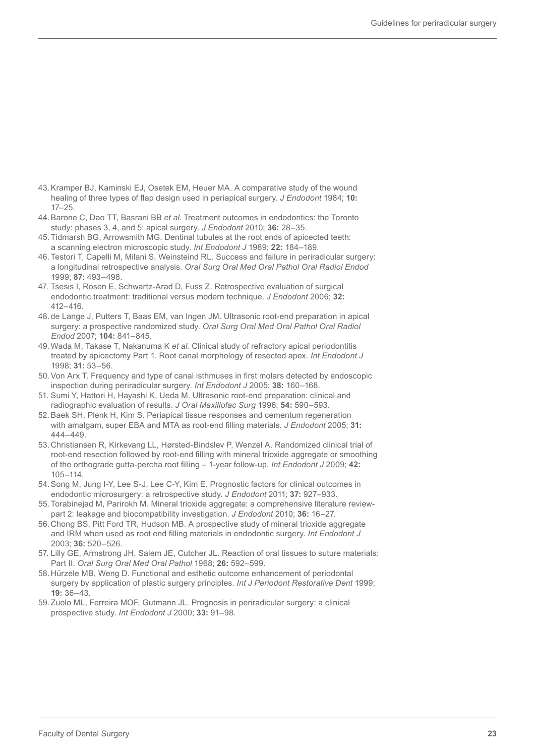- 43.Kramper BJ, Kaminski EJ, Osetek EM, Heuer MA. A comparative study of the wound healing of three types of flap design used in periapical surgery. *J Endodont* 1984; **10:** 17–25.
- 44.Barone C, Dao TT, Basrani BB *et al*. Treatment outcomes in endodontics: the Toronto study: phases 3, 4, and 5: apical surgery. *J Endodont* 2010; **36:** 28–35.
- 45.Tidmarsh BG, Arrowsmith MG. Dentinal tubules at the root ends of apicected teeth: a scanning electron microscopic study. *Int Endodont J* 1989; **22:** 184–189.
- 46.Testori T, Capelli M, Milani S, Weinsteind RL. Success and failure in periradicular surgery: a longitudinal retrospective analysis. *Oral Surg Oral Med Oral Pathol Oral Radiol Endod* 1999; **87:** 493–498.
- 47. Tsesis I, Rosen E, Schwartz-Arad D, Fuss Z. Retrospective evaluation of surgical endodontic treatment: traditional versus modern technique. *J Endodont* 2006; **32:** 412–416.
- 48.de Lange J, Putters T, Baas EM, van Ingen JM. Ultrasonic root-end preparation in apical surgery: a prospective randomized study. *Oral Surg Oral Med Oral Pathol Oral Radiol Endod* 2007; **104:** 841–845.
- 49. Wada M, Takase T, Nakanuma K *et al.* Clinical study of refractory apical periodontitis treated by apicectomy Part 1. Root canal morphology of resected apex. *Int Endodont J* 1998; **31:** 53–56.
- 50.Von Arx T. Frequency and type of canal isthmuses in first molars detected by endoscopic inspection during periradicular surgery. *Int Endodont J* 2005; **38:** 160–168.
- 51. Sumi Y, Hattori H, Hayashi K, Ueda M. Ultrasonic root-end preparation: clinical and radiographic evaluation of results. *J Oral Maxillofac Surg* 1996; **54:** 590–593.
- 52.Baek SH, Plenk H, Kim S. Periapical tissue responses and cementum regeneration with amalgam, super EBA and MTA as root-end filling materials. *J Endodont* 2005; **31:** 444–449.
- 53.Christiansen R, Kirkevang LL, Hørsted-Bindslev P, Wenzel A. Randomized clinical trial of root-end resection followed by root-end filling with mineral trioxide aggregate or smoothing of the orthograde gutta-percha root filling – 1-year follow-up. *Int Endodont J* 2009; **42:** 105–114.
- 54.Song M, Jung I-Y, Lee S-J, Lee C-Y, Kim E. Prognostic factors for clinical outcomes in endodontic microsurgery: a retrospective study. *J Endodont* 2011; **37:** 927–933.
- 55.Torabinejad M, Parirokh M. Mineral trioxide aggregate: a comprehensive literature reviewpart 2: leakage and biocompatibility investigation. *J Endodont* 2010; **36:** 16–27.
- 56.Chong BS, Pitt Ford TR, Hudson MB. A prospective study of mineral trioxide aggregate and IRM when used as root end filling materials in endodontic surgery. *Int Endodont J* 2003; **36:** 520–526.
- 57. Lilly GE, Armstrong JH, Salem JE, Cutcher JL. Reaction of oral tissues to suture materials: Part II. *Oral Surg Oral Med Oral Pathol* 1968; **26:** 592–599.
- 58.Hürzele MB, Weng D. Functional and esthetic outcome enhancement of periodontal surgery by application of plastic surgery principles. *Int J Periodont Restorative Dent* 1999; **19:** 36–43.
- 59. Zuolo ML, Ferreira MOF, Gutmann JL. Prognosis in periradicular surgery: a clinical prospective study. *Int Endodont J* 2000; **33:** 91–98.